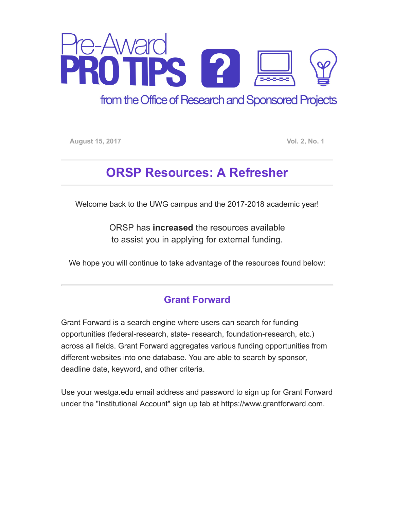

from the Office of Research and Sponsored Projects

August 15, 2017 **Vol. 2, No. 1** 

# ORSP Resources: A Refresher

Welcome back to the UWG campus and the 2017-2018 academic year!

ORSP has increased the resources available to assist you in applying for external funding.

We hope you will continue to take advantage of the resources found below:

#### Grant Forward

Grant Forward is a search engine where users can search for funding opportunities (federal-research, state- research, foundation-research, etc.) across all fields. Grant Forward aggregates various funding opportunities from different websites into one database. You are able to search by sponsor, deadline date, keyword, and other criteria.

Use your westga.edu email address and password to sign up for Grant Forward under the "Institutional Account" sign up tab at https://www.grantforward.com.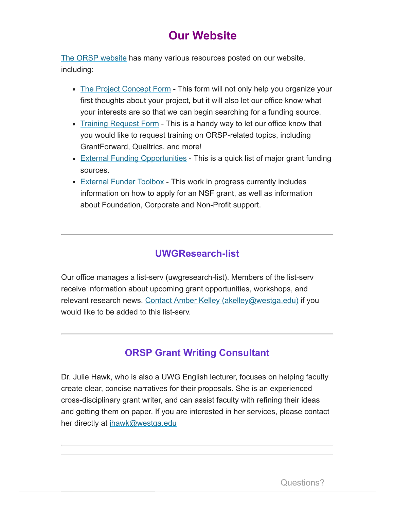# **Our Website**

[The ORSP website](http://www.westga.edu/orsp) has many various resources posted on our website, including:

- [The Project Concept Form](https://westga.co1.qualtrics.com/jfe/form/SV_3RkbU7Q1z9x6dWR)  This form will not only help you organize your first thoughts about your project, but it will also let our office know what your interests are so that we can begin searching for a funding source.
- [Training Request Form](https://www.westga.edu/academics/research/orsp/training-request-form.php) This is a handy way to let our office know that you would like to request training on ORSP-related topics, including GrantForward, Qualtrics, and more!
- [External Funding Opportunities](https://www.westga.edu/academics/research/orsp/pre-award.php)  This is a quick list of major grant funding sources.
- [External Funder Toolbox](https://www.westga.edu/academics/research/orsp/nsf.php)  This work in progress currently includes information on how to apply for an NSF grant, as well as information about Foundation, Corporate and Non-Profit support.

#### UWGResearch-list

Our office manages a list-serv (uwgresearch-list). Members of the list-serv receive information about upcoming grant opportunities, workshops, and relevant research news. [Contact Amber Kelley \(akelley@westga.edu\)](mailto:akelley@westga.edu?subject=Add%20to%20UWGResearch-list&body=Please%20add%20me%20to%20UWGResearch-list.%20) if you would like to be added to this list-serv.

### ORSP Grant Writing Consultant

Dr. Julie Hawk, who is also a UWG English lecturer, focuses on helping faculty create clear, concise narratives for their proposals. She is an experienced cross-disciplinary grant writer, and can assist faculty with refining their ideas and getting them on paper. If you are interested in her services, please contact her directly at [jhawk@westga.edu](mailto:jhawk@westga.edu)